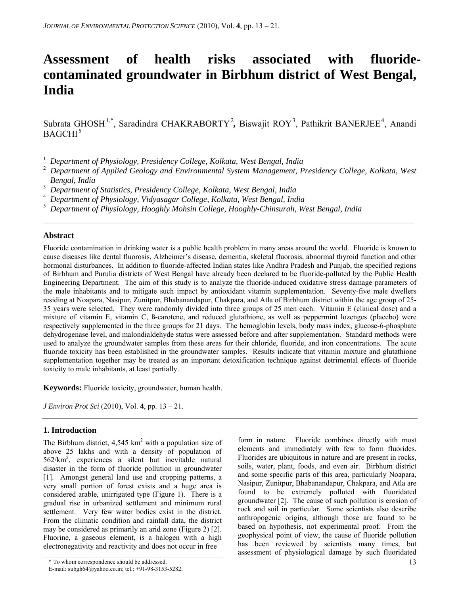# **Assessment of health risks associated with fluoridecontaminated groundwater in Birbhum district of West Bengal, India**

Subrata GHOSH<sup>1,\*</sup>, Saradindra CHAKRABORTY<sup>2</sup>, Biswajit ROY<sup>3</sup>, Pathikrit BANERJEE<sup>4</sup>, Anandi  $BAGCHI<sup>5</sup>$ 

<sup>1</sup>*Department of Physiology, Presidency College, Kolkata, West Bengal, India* 

 $\mathcal{L}_\mathcal{L} = \mathcal{L}_\mathcal{L} = \mathcal{L}_\mathcal{L} = \mathcal{L}_\mathcal{L} = \mathcal{L}_\mathcal{L} = \mathcal{L}_\mathcal{L} = \mathcal{L}_\mathcal{L} = \mathcal{L}_\mathcal{L} = \mathcal{L}_\mathcal{L} = \mathcal{L}_\mathcal{L} = \mathcal{L}_\mathcal{L} = \mathcal{L}_\mathcal{L} = \mathcal{L}_\mathcal{L} = \mathcal{L}_\mathcal{L} = \mathcal{L}_\mathcal{L} = \mathcal{L}_\mathcal{L} = \mathcal{L}_\mathcal{L}$ 

<sup>4</sup>*Department of Physiology, Vidyasagar College, Kolkata, West Bengal, India* 

<sup>5</sup>*Department of Physiology, Hooghly Mohsin College, Hooghly-Chinsurah, West Bengal, India*

## **Abstract**

Fluoride contamination in drinking water is a public health problem in many areas around the world. Fluoride is known to cause diseases like dental fluorosis, Alzheimer's disease, dementia, skeletal fluorosis, abnormal thyroid function and other hormonal disturbances. In addition to fluoride-affected Indian states like Andhra Pradesh and Punjab, the specified regions of Birbhum and Purulia districts of West Bengal have already been declared to be fluoride-polluted by the Public Health Engineering Department. The aim of this study is to analyze the fluoride-induced oxidative stress damage parameters of the male inhabitants and to mitigate such impact by antioxidant vitamin supplementation. Seventy-five male dwellers residing at Noapara, Nasipur, Zunitpur, Bhabanandapur, Chakpara, and Atla of Birbhum district within the age group of 25- 35 years were selected. They were randomly divided into three groups of 25 men each. Vitamin E (clinical dose) and a mixture of vitamin E, vitamin C, ß-carotene, and reduced glutathione, as well as peppermint lozenges (placebo) were respectively supplemented in the three groups for 21 days. The hemoglobin levels, body mass index, glucose-6-phosphate dehydrogenase level, and malondialdehyde status were assessed before and after supplementation. Standard methods were used to analyze the groundwater samples from these areas for their chloride, fluoride, and iron concentrations. The acute fluoride toxicity has been established in the groundwater samples. Results indicate that vitamin mixture and glutathione supplementation together may be treated as an important detoxification technique against detrimental effects of fluoride toxicity to male inhabitants, at least partially.

**Keywords:** Fluoride toxicity, groundwater, human health.

*J Environ Prot Sci* (2010), Vol. **4**, pp. 13 – 21.

# **1. Introduction**

The Birbhum district,  $4,545 \text{ km}^2$  with a population size of above 25 lakhs and with a density of population of 562/km2 , experiences a silent but inevitable natural disaster in the form of fluoride pollution in groundwater [1]. Amongst general land use and cropping patterns, a very small portion of forest exists and a huge area is considered arable, unirrigated type (Figure 1). There is a gradual rise in urbanized settlement and minimum rural settlement. Very few water bodies exist in the district. From the climatic condition and rainfall data, the district may be considered as primarily an arid zone (Figure 2) [2]. Fluorine, a gaseous element, is a halogen with a high electronegativity and reactivity and does not occur in free

form in nature. Fluoride combines directly with most elements and immediately with few to form fluorides. Fluorides are ubiquitous in nature and are present in rocks, soils, water, plant, foods, and even air. Birbhum district and some specific parts of this area, particularly Noapara, Nasipur, Zunitpur, Bhabanandapur, Chakpara, and Atla are found to be extremely polluted with fluoridated groundwater [2]. The cause of such pollution is erosion of rock and soil in particular. Some scientists also describe anthropogenic origins, although those are found to be based on hypothesis, not experimental proof. From the geophysical point of view, the cause of fluoride pollution has been reviewed by scientists many times, but assessment of physiological damage by such fluoridated

<sup>2</sup>*Department of Applied Geology and Environmental System Management, Presidency College, Kolkata, West Bengal, India* 

<sup>3</sup>*Department of Statistics, Presidency College, Kolkata, West Bengal, India* 

<sup>\*</sup> To whom correspondence should be addressed.

E-mail: subgh64@yahoo.co.in; tel.: +91-98-3153-5282.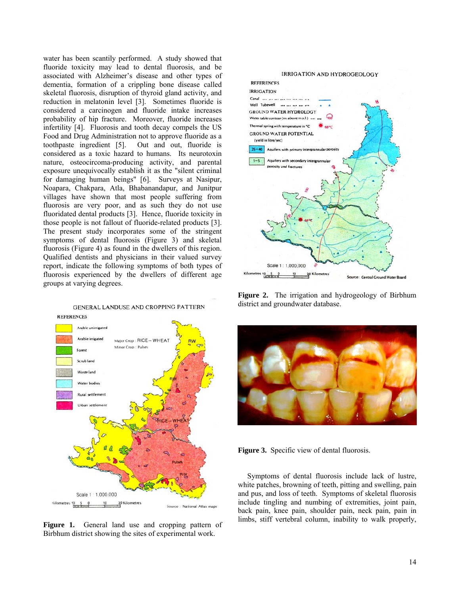water has been scantily performed. A study showed that fluoride toxicity may lead to dental fluorosis, and be associated with Alzheimer's disease and other types of dementia, formation of a crippling bone disease called skeletal fluorosis, disruption of thyroid gland activity, and reduction in melatonin level [3]. Sometimes fluoride is considered a carcinogen and fluoride intake increases probability of hip fracture. Moreover, fluoride increases infertility [4]. Fluorosis and tooth decay compels the US Food and Drug Administration not to approve fluoride as a toothpaste ingredient [5]. Out and out, fluoride is considered as a toxic hazard to humans. Its neurotoxin nature, osteocircoma-producing activity, and parental exposure unequivocally establish it as the "silent criminal for damaging human beings" [6]. Surveys at Nasipur, Noapara, Chakpara, Atla, Bhabanandapur, and Junitpur villages have shown that most people suffering from fluorosis are very poor, and as such they do not use fluoridated dental products [3]. Hence, fluoride toxicity in those people is not fallout of fluoride-related products [3]. The present study incorporates some of the stringent symptoms of dental fluorosis (Figure 3) and skeletal fluorosis (Figure 4) as found in the dwellers of this region. Qualified dentists and physicians in their valued survey report, indicate the following symptoms of both types of fluorosis experienced by the dwellers of different age groups at varying degrees.

GENERAL LANDUSE AND CROPPING PATTERN







**Figure 2.** The irrigation and hydrogeology of Birbhum district and groundwater database.



**Figure 3.** Specific view of dental fluorosis.

 Symptoms of dental fluorosis include lack of lustre, white patches, browning of teeth, pitting and swelling, pain and pus, and loss of teeth. Symptoms of skeletal fluorosis include tingling and numbing of extremities, joint pain, back pain, knee pain, shoulder pain, neck pain, pain in limbs, stiff vertebral column, inability to walk properly,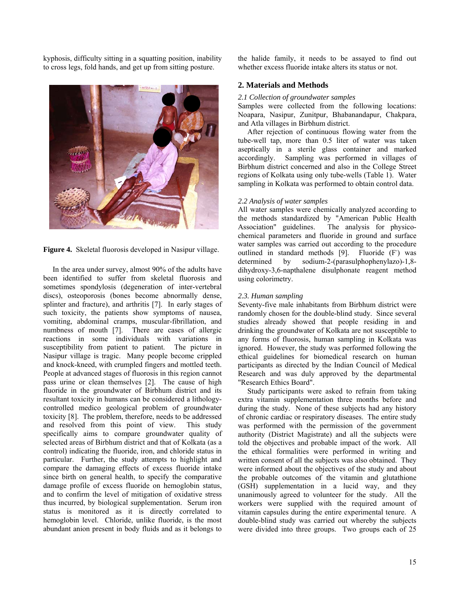kyphosis, difficulty sitting in a squatting position, inability to cross legs, fold hands, and get up from sitting posture.



**Figure 4.** Skeletal fluorosis developed in Nasipur village.

 In the area under survey, almost 90% of the adults have been identified to suffer from skeletal fluorosis and sometimes spondylosis (degeneration of inter-vertebral discs), osteoporosis (bones become abnormally dense, splinter and fracture), and arthritis [7]. In early stages of such toxicity, the patients show symptoms of nausea, vomiting, abdominal cramps, muscular-fibrillation, and numbness of mouth [7]. There are cases of allergic reactions in some individuals with variations in susceptibility from patient to patient. The picture in Nasipur village is tragic. Many people become crippled and knock-kneed, with crumpled fingers and mottled teeth. People at advanced stages of fluorosis in this region cannot pass urine or clean themselves [2]. The cause of high fluoride in the groundwater of Birbhum district and its resultant toxicity in humans can be considered a lithologycontrolled medico geological problem of groundwater toxicity [8]. The problem, therefore, needs to be addressed<br>and resolved from this point of view. This study and resolved from this point of view. specifically aims to compare groundwater quality of selected areas of Birbhum district and that of Kolkata (as a control) indicating the fluoride, iron, and chloride status in particular. Further, the study attempts to highlight and compare the damaging effects of excess fluoride intake since birth on general health, to specify the comparative damage profile of excess fluoride on hemoglobin status, and to confirm the level of mitigation of oxidative stress thus incurred, by biological supplementation. Serum iron status is monitored as it is directly correlated to hemoglobin level. Chloride, unlike fluoride, is the most abundant anion present in body fluids and as it belongs to

the halide family, it needs to be assayed to find out whether excess fluoride intake alters its status or not.

# **2. Materials and Methods**

#### *2.1 Collection of groundwater samples*

Samples were collected from the following locations: Noapara, Nasipur, Zunitpur, Bhabanandapur, Chakpara, and Atla villages in Birbhum district.

 After rejection of continuous flowing water from the tube-well tap, more than 0.5 liter of water was taken aseptically in a sterile glass container and marked accordingly. Sampling was performed in villages of Birbhum district concerned and also in the College Street regions of Kolkata using only tube-wells (Table 1). Water sampling in Kolkata was performed to obtain control data.

# *2.2 Analysis of water samples*

All water samples were chemically analyzed according to the methods standardized by "American Public Health Association" guidelines. The analysis for physicochemical parameters and fluoride in ground and surface water samples was carried out according to the procedure outlined in standard methods [9]. Fluoride (F) was determined by sodium-2-(parasulphophenylazo)-1,8 dihydroxy-3,6-napthalene disulphonate reagent method using colorimetry.

## *2.3. Human sampling*

Seventy-five male inhabitants from Birbhum district were randomly chosen for the double-blind study. Since several studies already showed that people residing in and drinking the groundwater of Kolkata are not susceptible to any forms of fluorosis, human sampling in Kolkata was ignored. However, the study was performed following the ethical guidelines for biomedical research on human participants as directed by the Indian Council of Medical Research and was duly approved by the departmental "Research Ethics Board".

Study participants were asked to refrain from taking extra vitamin supplementation three months before and during the study. None of these subjects had any history of chronic cardiac or respiratory diseases. The entire study was performed with the permission of the government authority (District Magistrate) and all the subjects were told the objectives and probable impact of the work. All the ethical formalities were performed in writing and written consent of all the subjects was also obtained. They were informed about the objectives of the study and about the probable outcomes of the vitamin and glutathione (GSH) supplementation in a lucid way, and they unanimously agreed to volunteer for the study. All the workers were supplied with the required amount of vitamin capsules during the entire experimental tenure. A double-blind study was carried out whereby the subjects were divided into three groups. Two groups each of 25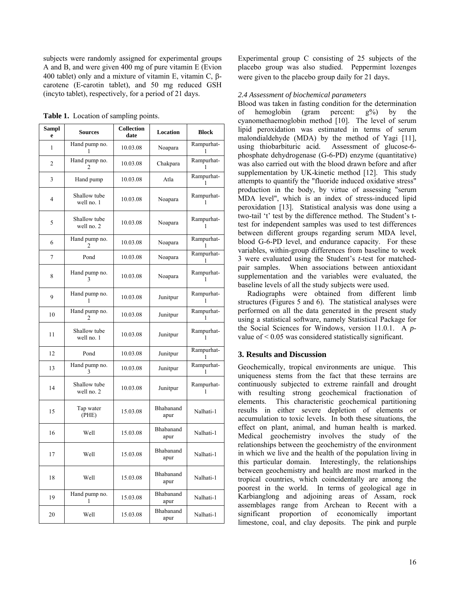subjects were randomly assigned for experimental groups A and B, and were given 400 mg of pure vitamin E (Evion 400 tablet) only and a mixture of vitamin E, vitamin C,  $β$ carotene (E-carotin tablet), and 50 mg reduced GSH (incyto tablet), respectively, for a period of 21 days.

**Table 1.** Location of sampling points.

| <b>Sampl</b><br>e | <b>Sources</b>             | <b>Collection</b><br>date | Location          | <b>Block</b>    |
|-------------------|----------------------------|---------------------------|-------------------|-----------------|
| 1                 | Hand pump no.<br>1         | 10.03.08                  | Noapara           | Rampurhat-<br>1 |
| 2                 | Hand pump no.<br>2         | 10.03.08                  | Chakpara          | Rampurhat-<br>1 |
| 3                 | Hand pump                  | 10.03.08                  | Atla              | Rampurhat-<br>1 |
| 4                 | Shallow tube<br>well no. 1 | 10.03.08                  | Noapara           | Rampurhat-      |
| 5                 | Shallow tube<br>well no. 2 | 10.03.08                  | Noapara           | Rampurhat-<br>1 |
| 6                 | Hand pump no.<br>2         | 10.03.08                  | Noapara           | Rampurhat-<br>1 |
| 7                 | Pond                       | 10.03.08                  | Noapara           | Rampurhat-      |
| 8                 | Hand pump no.<br>3         | 10.03.08                  | Noapara           | Rampurhat-<br>1 |
| 9                 | Hand pump no.<br>ı         | 10.03.08                  | Junitpur          | Rampurhat-<br>1 |
| 10                | Hand pump no.<br>2         | 10.03.08                  | Junitpur          | Rampurhat-<br>1 |
| 11                | Shallow tube<br>well no. 1 | 10.03.08                  | Junitpur          | Rampurhat-      |
| 12                | Pond                       | 10.03.08                  | Junitpur          | Rampurhat-      |
| 13                | Hand pump no.<br>3         | 10.03.08                  | Junitpur          | Rampurhat-<br>1 |
| 14                | Shallow tube<br>well no. 2 | 10.03.08                  | Junitpur          | Rampurhat-<br>1 |
| 15                | Tap water<br>(PHE)         | 15.03.08                  | Bhabanand<br>apur | Nalhati-1       |
| 16                | Well                       | 15.03.08                  | Bhabanand<br>apur | Nalhati-1       |
| 17                | Well                       | 15.03.08                  | Bhabanand<br>apur | Nalhati-1       |
| 18                | Well                       | 15.03.08                  | Bhabanand<br>apur | Nalhati-1       |
| 19                | Hand pump no.<br>1         | 15.03.08                  | Bhabanand<br>apur | Nalhati-1       |
| 20                | Well                       | 15.03.08                  | Bhabanand<br>apur | Nalhati-1       |

Experimental group C consisting of 25 subjects of the placebo group was also studied. Peppermint lozenges were given to the placebo group daily for 21 days.

## *2.4 Assessment of biochemical parameters*

Blood was taken in fasting condition for the determination of hemoglobin (gram percent:  $g\%$ ) by the cyanomethaemoglobin method [10]. The level of serum lipid peroxidation was estimated in terms of serum malondialdehyde (MDA) by the method of Yagi [11], using thiobarbituric acid. Assessment of glucose-6 phosphate dehydrogenase (G-6-PD) enzyme (quantitative) was also carried out with the blood drawn before and after supplementation by UK-kinetic method [12]. This study attempts to quantify the "fluoride induced oxidative stress" production in the body, by virtue of assessing "serum MDA level", which is an index of stress-induced lipid peroxidation [13]. Statistical analysis was done using a two-tail 't' test by the difference method. The Student's ttest for independent samples was used to test differences between different groups regarding serum MDA level, blood G-6-PD level, and endurance capacity. For these variables, within-group differences from baseline to week 3 were evaluated using the Student's *t*-test for matchedpair samples. When associations between antioxidant supplementation and the variables were evaluated, the baseline levels of all the study subjects were used.

 Radiographs were obtained from different limb structures (Figures 5 and 6). The statistical analyses were performed on all the data generated in the present study using a statistical software, namely Statistical Package for the Social Sciences for Windows, version 11.0.1. A *p*value of < 0.05 was considered statistically significant.

#### **3. Results and Discussion**

Geochemically, tropical environments are unique. This uniqueness stems from the fact that these terrains are continuously subjected to extreme rainfall and drought with resulting strong geochemical fractionation of elements. This characteristic geochemical partitioning results in either severe depletion of elements or accumulation to toxic levels. In both these situations, the effect on plant, animal, and human health is marked. Medical geochemistry involves the study of the relationships between the geochemistry of the environment in which we live and the health of the population living in this particular domain. Interestingly, the relationships between geochemistry and health are most marked in the tropical countries, which coincidentally are among the poorest in the world. In terms of geological age in Karbianglong and adjoining areas of Assam, rock assemblages range from Archean to Recent with a significant proportion of economically important limestone, coal, and clay deposits. The pink and purple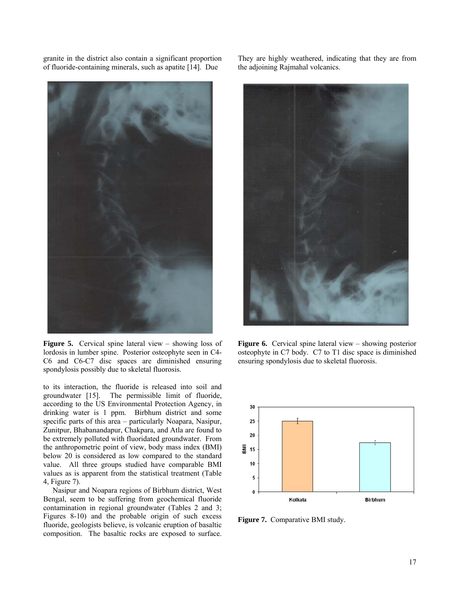granite in the district also contain a significant proportion of fluoride-containing minerals, such as apatite [14]. Due



Figure 5. Cervical spine lateral view – showing loss of lordosis in lumber spine. Posterior osteophyte seen in C4- C6 and C6-C7 disc spaces are diminished ensuring spondylosis possibly due to skeletal fluorosis.

to its interaction, the fluoride is released into soil and groundwater [15]. The permissible limit of fluoride, according to the US Environmental Protection Agency, in drinking water is 1 ppm. Birbhum district and some specific parts of this area – particularly Noapara, Nasipur, Zunitpur, Bhabanandapur, Chakpara, and Atla are found to be extremely polluted with fluoridated groundwater. From the anthropometric point of view, body mass index (BMI) below 20 is considered as low compared to the standard value. All three groups studied have comparable BMI values as is apparent from the statistical treatment (Table 4, Figure 7).

Nasipur and Noapara regions of Birbhum district, West Bengal, seem to be suffering from geochemical fluoride contamination in regional groundwater (Tables 2 and 3; Figures 8-10) and the probable origin of such excess fluoride, geologists believe, is volcanic eruption of basaltic composition. The basaltic rocks are exposed to surface. They are highly weathered, indicating that they are from the adjoining Rajmahal volcanics.



**Figure 6.** Cervical spine lateral view – showing posterior osteophyte in C7 body. C7 to T1 disc space is diminished ensuring spondylosis due to skeletal fluorosis.



**Figure 7.** Comparative BMI study.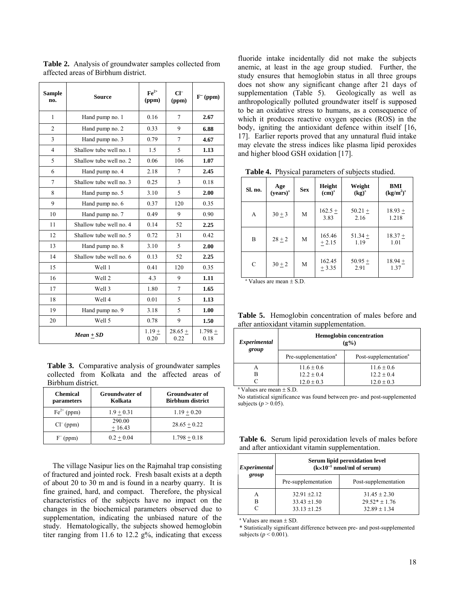| <b>Sample</b><br>no. | <b>Source</b>           | $\mathbf{Fe}^{2+}$<br>(ppm) | $CI^{-}$<br>(ppm) | $F^-(ppm)$        |
|----------------------|-------------------------|-----------------------------|-------------------|-------------------|
| 1                    | Hand pump no. 1         | 0.16                        | $\tau$            | 2.67              |
| $\overline{2}$       | Hand pump no. 2         | 0.33                        | 9                 | 6.88              |
| 3                    | Hand pump no. 3         | 0.79                        | 7                 | 4.67              |
| $\overline{4}$       | Shallow tube well no. 1 | 1.5                         | 5                 | 1.13              |
| 5                    | Shallow tube well no. 2 | 0.06                        | 106               | 1.07              |
| 6                    | Hand pump no. 4         | 2.18                        | $\overline{7}$    | 2.45              |
| 7                    | Shallow tube well no. 3 | 0.25                        | 3                 | 0.18              |
| 8                    | Hand pump no. 5         | 3.10                        | 5                 | 2.00              |
| 9                    | Hand pump no. 6         | 0.37                        | 120               | 0.35              |
| 10                   | Hand pump no. 7         | 0.49                        | 9                 | 0.90              |
| 11                   | Shallow tube well no. 4 | 0.14                        | 52                | 2.25              |
| 12                   | Shallow tube well no. 5 | 0.72                        | 31                | 0.42              |
| 13                   | Hand pump no. 8         | 3.10                        | 5                 | 2.00              |
| 14                   | Shallow tube well no. 6 | 0.13                        | 52                | 2.25              |
| 15                   | Well 1                  | 0.41                        | 120               | 0.35              |
| 16                   | Well 2                  | 4.3                         | 9                 | 1.11              |
| 17                   | Well 3                  | 1.80                        | 7                 | 1.65              |
| 18                   | Well 4                  | 0.01                        | 5                 | 1.13              |
| 19                   | Hand pump no. 9         | 3.18                        | 5                 | 1.00              |
| 20                   | Well 5                  | 0.78                        | 9                 | 1.50              |
|                      | Mean $\pm$ SD           | $1.19 +$<br>0.20            | $28.65 +$<br>0.22 | $1.798 +$<br>0.18 |

**Table 2.** Analysis of groundwater samples collected from affected areas of Birbhum district.

**Table 3.** Comparative analysis of groundwater samples collected from Kolkata and the affected areas of Birbhum district.

| <b>Chemical</b><br>parameters | Groundwater of<br>Kolkata | <b>Groundwater of</b><br><b>Birbhum district</b> |
|-------------------------------|---------------------------|--------------------------------------------------|
| $Fe2+$ (ppm)                  | $1.9 + 0.31$              | $1.19 + 0.20$                                    |
| $Cl^-(ppm)$                   | 290.00<br>$+16.43$        | $28.65 + 0.22$                                   |
| $F^{-}$ (ppm)                 | $0.2 + 0.04$              | $1.798 + 0.18$                                   |

 The village Nasipur lies on the Rajmahal trap consisting of fractured and jointed rock. Fresh basalt exists at a depth of about 20 to 30 m and is found in a nearby quarry. It is fine grained, hard, and compact. Therefore, the physical characteristics of the subjects have no impact on the changes in the biochemical parameters observed due to supplementation, indicating the unbiased nature of the study. Hematologically, the subjects showed hemoglobin titer ranging from 11.6 to 12.2  $g\%$ , indicating that excess fluoride intake incidentally did not make the subjects anemic, at least in the age group studied. Further, the study ensures that hemoglobin status in all three groups does not show any significant change after 21 days of supplementation (Table 5). Geologically as well as anthropologically polluted groundwater itself is supposed to be an oxidative stress to humans, as a consequence of which it produces reactive oxygen species (ROS) in the body, igniting the antioxidant defence within itself [16, 17]. Earlier reports proved that any unnatural fluid intake may elevate the stress indices like plasma lipid peroxides and higher blood GSH oxidation [17].

**Table 4.** Physical parameters of subjects studied.

| Sl. no. | Age<br>$(years)^a$ | <b>Sex</b> | Height<br>$(cm)^a$ | Weight<br>$(kg)^a$ | BMI<br>(kg/m <sup>2</sup> ) <sup>a</sup> |
|---------|--------------------|------------|--------------------|--------------------|------------------------------------------|
| А       | $30 + 3$           | M          | $162.5 +$<br>3.83  | $50.21 +$<br>2.16  | $18.93 +$<br>1.218                       |
| B       | $28 + 2$           | M          | 165.46<br>$+2.15$  | $51.34 +$<br>1.19  | $18.37 +$<br>1.01                        |
| C       | $30 + 2$           | M          | 162.45<br>$+3.35$  | $50.95 +$<br>2.91  | $18.94 +$<br>1.37                        |

a Values are mean ± S.D.

**Table 5.** Hemoglobin concentration of males before and after antioxidant vitamin supplementation.

| Experimental                            | <b>Hemoglobin concentration</b><br>$(2\%)$ |                                   |  |
|-----------------------------------------|--------------------------------------------|-----------------------------------|--|
| group                                   | Pre-supplementation <sup>a</sup>           | Post-supplementation <sup>a</sup> |  |
| А                                       | $11.6 + 0.6$                               | $11.6 \pm 0.6$                    |  |
| В                                       | $12.2 + 0.4$                               | $12.2 + 0.4$                      |  |
| C                                       | $12.0 \pm 0.3$                             | $12.0 \pm 0.3$                    |  |
| <sup>a</sup> Values are mean $\pm$ S.D. |                                            |                                   |  |

No statistical significance was found between pre- and post-supplemented subjects ( $p > 0.05$ ).

**Table 6.** Serum lipid peroxidation levels of males before and after antioxidant vitamin supplementation.

| Experimental | Serum lipid peroxidation level<br>$(k \times 10^{-1}$ nmol/ml of serum) |                                                     |  |
|--------------|-------------------------------------------------------------------------|-----------------------------------------------------|--|
| group        | Pre-supplementation                                                     | Post-supplementation                                |  |
|              | $32.91 + 2.12$<br>$33.43 \pm 1.50$<br>$33.13 + 1.25$                    | $31.45 + 2.30$<br>$29.52* + 1.76$<br>$32.89 + 1.34$ |  |

a Values are mean ± SD.

\* Statistically significant difference between pre- and post-supplemented subjects ( $p < 0.001$ ).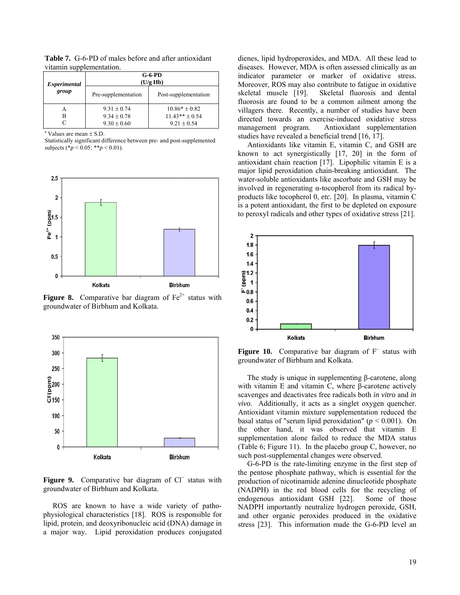| Experimental | $G-6-PD$<br>(U/g Hb)                                  |                                                          |  |
|--------------|-------------------------------------------------------|----------------------------------------------------------|--|
| group        | Pre-supplementation                                   | Post-supplementation                                     |  |
| А<br>в       | $9.31 \pm 0.74$<br>$9.34 \pm 0.78$<br>$9.30 \pm 0.60$ | $10.86* \pm 0.82$<br>$11.43** + 0.54$<br>$9.21 \pm 0.54$ |  |

**Table 7.** G-6-PD of males before and after antioxidant vitamin supplementation.

 $a$  Values are mean  $\pm$  S.D.

Statistically significant difference between pre- and post-supplemented subjects (\* $p < 0.05$ ; \*\* $p < 0.01$ ).



**Figure 8.** Comparative bar diagram of  $Fe<sup>2+</sup>$  status with groundwater of Birbhum and Kolkata.



Figure 9. Comparative bar diagram of Cl<sup>−</sup> status with groundwater of Birbhum and Kolkata.

ROS are known to have a wide variety of pathophysiological characteristics [18]. ROS is responsible for lipid, protein, and deoxyribonucleic acid (DNA) damage in a major way. Lipid peroxidation produces conjugated dienes, lipid hydroperoxides, and MDA. All these lead to diseases. However, MDA is often assessed clinically as an indicator parameter or marker of oxidative stress. Moreover, ROS may also contribute to fatigue in oxidative skeletal muscle [19]. Skeletal fluorosis and dental fluorosis are found to be a common ailment among the villagers there. Recently, a number of studies have been directed towards an exercise-induced oxidative stress management program. Antioxidant supplementation studies have revealed a beneficial trend [16, 17].

Antioxidants like vitamin E, vitamin C, and GSH are known to act synergistically [17, 20] in the form of antioxidant chain reaction [17]. Lipophilic vitamin E is a major lipid peroxidation chain-breaking antioxidant. The water-soluble antioxidants like ascorbate and GSH may be involved in regenerating  $\alpha$ -tocopherol from its radical byproducts like tocopherol 0, *etc.* [20]. In plasma, vitamin C is a potent antioxidant, the first to be depleted on exposure to peroxyl radicals and other types of oxidative stress [21].



**Figure 10.** Comparative bar diagram of F<sup>−</sup> status with groundwater of Birbhum and Kolkata.

The study is unique in supplementing β-carotene, along with vitamin E and vitamin C, where β-carotene actively scavenges and deactivates free radicals both *in vitro* and *in vivo*. Additionally, it acts as a singlet oxygen quencher. Antioxidant vitamin mixture supplementation reduced the basal status of "serum lipid peroxidation" ( $p < 0.001$ ). On the other hand, it was observed that vitamin E supplementation alone failed to reduce the MDA status (Table 6; Figure 11). In the placebo group C, however, no such post-supplemental changes were observed.

G-6-PD is the rate-limiting enzyme in the first step of the pentose phosphate pathway, which is essential for the production of nicotinamide adenine dinucleotide phosphate (NADPH) in the red blood cells for the recycling of endogenous antioxidant GSH [22]. Some of those NADPH importantly neutralize hydrogen peroxide, GSH, and other organic peroxides produced in the oxidative stress [23]. This information made the G-6-PD level an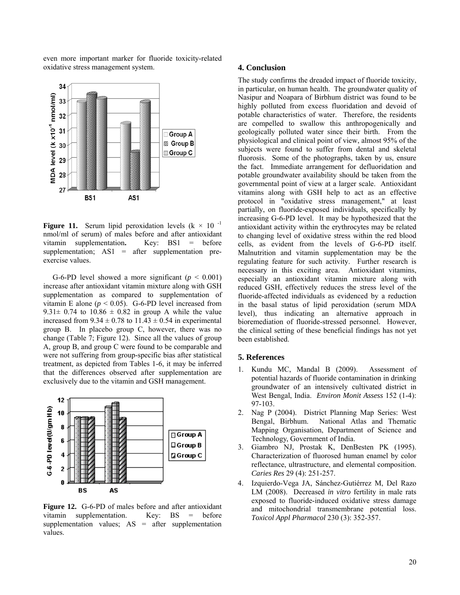even more important marker for fluoride toxicity-related oxidative stress management system.



**Figure 11.** Serum lipid peroxidation levels  $(k \times 10^{-1}$ nmol/ml of serum) of males before and after antioxidant vitamin supplementation**.** Key: BS1 = before supplementation;  $AS1 = after supplementation pre$ exercise values.

G-6-PD level showed a more significant  $(p < 0.001)$ increase after antioxidant vitamin mixture along with GSH supplementation as compared to supplementation of vitamin E alone  $(p < 0.05)$ . G-6-PD level increased from 9.31 $\pm$  0.74 to 10.86  $\pm$  0.82 in group A while the value increased from  $9.34 \pm 0.78$  to  $11.43 \pm 0.54$  in experimental group B. In placebo group C, however, there was no change (Table 7; Figure 12). Since all the values of group A, group B, and group C were found to be comparable and were not suffering from group-specific bias after statistical treatment, as depicted from Tables 1-6, it may be inferred that the differences observed after supplementation are exclusively due to the vitamin and GSH management.



**Figure 12.** G-6-PD of males before and after antioxidant vitamin supplementation. Key: BS = before supplementation values;  $AS = after supplementation$ values.

#### **4. Conclusion**

The study confirms the dreaded impact of fluoride toxicity, in particular, on human health. The groundwater quality of Nasipur and Noapara of Birbhum district was found to be highly polluted from excess fluoridation and devoid of potable characteristics of water. Therefore, the residents are compelled to swallow this anthropogenically and geologically polluted water since their birth. From the physiological and clinical point of view, almost 95% of the subjects were found to suffer from dental and skeletal fluorosis. Some of the photographs, taken by us, ensure the fact. Immediate arrangement for defluoridation and potable groundwater availability should be taken from the governmental point of view at a larger scale. Antioxidant vitamins along with GSH help to act as an effective protocol in "oxidative stress management," at least partially, on fluoride-exposed individuals, specifically by increasing G-6-PD level. It may be hypothesized that the antioxidant activity within the erythrocytes may be related to changing level of oxidative stress within the red blood cells, as evident from the levels of G-6-PD itself. Malnutrition and vitamin supplementation may be the regulating feature for such activity. Further research is necessary in this exciting area. Antioxidant vitamins, especially an antioxidant vitamin mixture along with reduced GSH, effectively reduces the stress level of the fluoride-affected individuals as evidenced by a reduction in the basal status of lipid peroxidation (serum MDA level), thus indicating an alternative approach in bioremediation of fluoride-stressed personnel. However, the clinical setting of these beneficial findings has not yet been established.

# **5. References**

- 1. Kundu MC, Mandal B (2009). Assessment of potential hazards of fluoride contamination in drinking groundwater of an intensively cultivated district in West Bengal, India. *Environ Monit Assess* 152 (1-4): 97-103.
- 2. Nag P (2004). District Planning Map Series: West Bengal, Birbhum. National Atlas and Thematic Mapping Organisation, Department of Science and Technology, Government of India.
- 3. Giambro NJ, Prostak K, DenBesten PK (1995). Characterization of fluorosed human enamel by color reflectance, ultrastructure, and elemental composition. *Caries Res* 29 (4): 251-257.
- 4. Izquierdo-Vega JA, Sánchez-Gutiérrez M, Del Razo LM (2008). Decreased *in vitro* fertility in male rats exposed to fluoride-induced oxidative stress damage and mitochondrial transmembrane potential loss. *Toxicol Appl Pharmacol* 230 (3): 352-357.